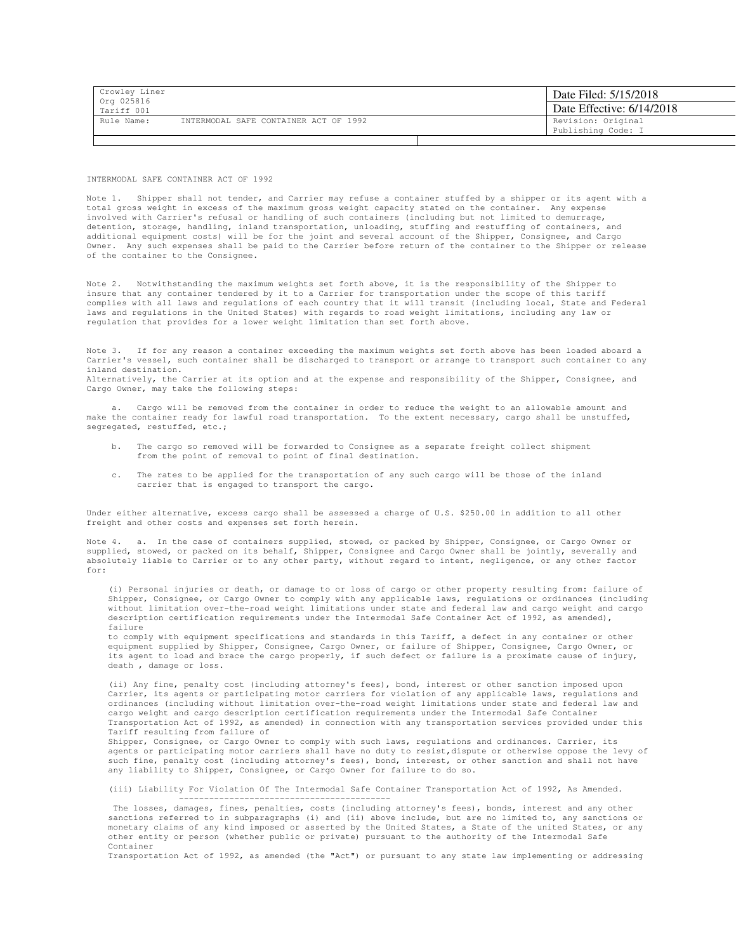| Crowley Liner<br>Org 025816 |                                       |  | Date Filed: 5/15/2018                    |
|-----------------------------|---------------------------------------|--|------------------------------------------|
| Tariff 001                  |                                       |  | Date Effective: 6/14/2018                |
| Rule Name:                  | INTERMODAL SAFE CONTAINER ACT OF 1992 |  | Revision: Original<br>Publishing Code: I |
|                             |                                       |  |                                          |

INTERMODAL SAFE CONTAINER ACT OF 1992

Note 1. Shipper shall not tender, and Carrier may refuse a container stuffed by a shipper or its agent with a total gross weight in excess of the maximum gross weight capacity stated on the container. Any expense involved with Carrier's refusal or handling of such containers (including but not limited to demurrage, detention, storage, handling, inland transportation, unloading, stuffing and restuffing of containers, and additional equipment costs) will be for the joint and several account of the Shipper, Consignee, and Cargo Owner. Any such expenses shall be paid to the Carrier before return of the container to the Shipper or release of the container to the Consignee.

Note 2. Notwithstanding the maximum weights set forth above, it is the responsibility of the Shipper to insure that any container tendered by it to a Carrier for transportation under the scope of this tariff complies with all laws and regulations of each country that it will transit (including local, State and Federal laws and regulations in the United States) with regards to road weight limitations, including any law or regulation that provides for a lower weight limitation than set forth above.

Note 3. If for any reason a container exceeding the maximum weights set forth above has been loaded aboard a Carrier's vessel, such container shall be discharged to transport or arrange to transport such container to any inland destination.

Alternatively, the Carrier at its option and at the expense and responsibility of the Shipper, Consignee, and Cargo Owner, may take the following steps:

 a. Cargo will be removed from the container in order to reduce the weight to an allowable amount and make the container ready for lawful road transportation. To the extent necessary, cargo shall be unstuffed, segregated, restuffed, etc.;

- b. The cargo so removed will be forwarded to Consignee as a separate freight collect shipment from the point of removal to point of final destination.
- c. The rates to be applied for the transportation of any such cargo will be those of the inland carrier that is engaged to transport the cargo.

Under either alternative, excess cargo shall be assessed a charge of U.S. \$250.00 in addition to all other freight and other costs and expenses set forth herein.

Note 4. a. In the case of containers supplied, stowed, or packed by Shipper, Consignee, or Cargo Owner or supplied, stowed, or packed on its behalf, Shipper, Consignee and Cargo Owner shall be jointly, severally and absolutely liable to Carrier or to any other party, without regard to intent, negligence, or any other factor for:

(i) Personal injuries or death, or damage to or loss of cargo or other property resulting from: failure of Shipper, Consignee, or Cargo Owner to comply with any applicable laws, regulations or ordinances (including without limitation over-the-road weight limitations under state and federal law and cargo weight and cargo description certification requirements under the Intermodal Safe Container Act of 1992, as amended), failure

to comply with equipment specifications and standards in this Tariff, a defect in any container or other equipment supplied by Shipper, Consignee, Cargo Owner, or failure of Shipper, Consignee, Cargo Owner, or its agent to load and brace the cargo properly, if such defect or failure is a proximate cause of injury, death , damage or loss.

(ii) Any fine, penalty cost (including attorney's fees), bond, interest or other sanction imposed upon Carrier, its agents or participating motor carriers for violation of any applicable laws, regulations and ordinances (including without limitation over-the-road weight limitations under state and federal law and cargo weight and cargo description certification requirements under the Intermodal Safe Container Transportation Act of 1992, as amended) in connection with any transportation services provided under this Tariff resulting from failure of

Shipper, Consignee, or Cargo Owner to comply with such laws, regulations and ordinances. Carrier, its agents or participating motor carriers shall have no duty to resist,dispute or otherwise oppose the levy of such fine, penalty cost (including attorney's fees), bond, interest, or other sanction and shall not have any liability to Shipper, Consignee, or Cargo Owner for failure to do so.

(iii) Liability For Violation Of The Intermodal Safe Container Transportation Act of 1992, As Amended. ------------------------------------------

 The losses, damages, fines, penalties, costs (including attorney's fees), bonds, interest and any other sanctions referred to in subparagraphs (i) and (ii) above include, but are no limited to, any sanctions or monetary claims of any kind imposed or asserted by the United States, a State of the united States, or any other entity or person (whether public or private) pursuant to the authority of the Intermodal Safe Container

Transportation Act of 1992, as amended (the "Act") or pursuant to any state law implementing or addressing